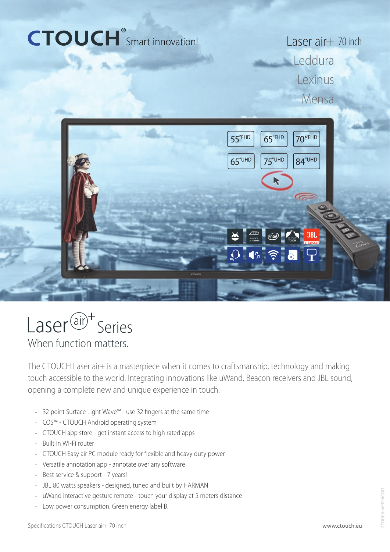# CTOUCH<sup>®</sup>Smart innovation!

Laser air+ 70 inch **Leddura** Lexinus Mensa





When function matters.

The CTOUCH Laser air+ is a masterpiece when it comes to craftsmanship, technology and making touch accessible to the world. Integrating innovations like uWand, Beacon receivers and JBL sound, opening a complete new and unique experience in touch.

- 32 point Surface Light Wave™ use 32 fingers at the same time
- COS™ CTOUCH Android operating system
- CTOUCH app store get instant access to high rated apps
- Built in Wi-Fi router
- CTOUCH Easy air PC module ready for flexible and heavy duty power
- Versatile annotation app annotate over any software
- Best service & support 7 years!
- JBL 80 watts speakers designed, tuned and built by HARMAN
- uWand interactive gesture remote touch your display at 5 meters distance
- Low power consumption. Green energy label B.

CTOUCHimPD160705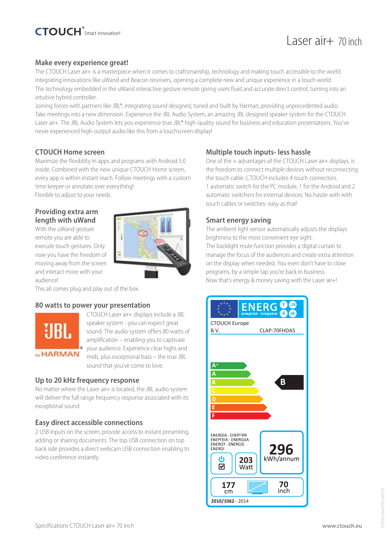# Laser air+ 70 inch

#### **Make every experience great!**

The CTOUCH Laser air+ is a masterpiece when it comes to craftsmanship, technology and making touch accessible to the world. Integrating innovations like uWand and Beacon receivers, opening a complete new and unique experience in a touch world. The technology embedded in the uWand interactive gesture remote giving users fluid and accurate direct control, turning into an intuitive hybrid controller.

Joining forces with partners like JBL®, integrating sound designed, tuned and built by Harman, providing unprecedented audio. Take meetings into a new dimension. Experience the JBL Audio System, an amazing JBL designed speaker system for the CTOUCH Laser air+. The JBL Audio System lets you experience true JBL® high-quality sound for business and education presentations. You've never experienced high-output audio like this from a touchscreen display!

#### **CTOUCH Home screen**

Maximize the flexiblilty in apps and programs with Android 5.0 inside. Combined with the new unique CTOUCH Home screen, every app is within instant reach. Follow meetings with a custom time keeper or annotate over everything! Flexible to adjust to your needs.

#### **Providing extra arm length with uWand**

With the uWand gesture remote you are able to execute touch gestures. Only now you have the freedom of moving away from the screen and interact more with your audience!

This all comes plug and play out of the box.

#### **80 watts to power your presentation**



CTOUCH Laser air+ displays include a JBL speaker system - you can expect great sound. The audio system offers 80 watts of amplification – enabling you to captivate your audience. Experience clear highs and mids, plus exceptional bass – the true JBL sound that you've come to love.

#### **Up to 20 kHz frequency response**

No matter where the Laser air+ is located, the JBL audio system will deliver the full range frequency response associated with its exceptional sound.

#### **Easy direct accessible connections**

2 USB inputs on the screen, provide access to instant presenting, adding or sharing documents. The top USB connection on top back side provides a direct webcam USB connection enabling to video conference instantly.

#### **Multiple touch inputs- less hassle**

One of the + advantages of the CTOUCH Laser air+ displays, is the freedom to connect multiple devices without reconnecting the touch cable. CTOUCH includes 4 touch connectors. 1 automatic switch for the PC module, 1 for the Android and 2 automatic switchers for external devices. No hassle with with touch cables or switches- easy as that!

#### **Smart energy saving**

The ambient light sensor automatically adjusts the displays brightness to the most convenient eye sight. The backlight mute function provides a digital curtain to manage the focus of the audiences and create extra attention on the display when needed. You even don't have to close programs, by a simple tap you're back in business. Now that's energy & money saving with the Laser air+!

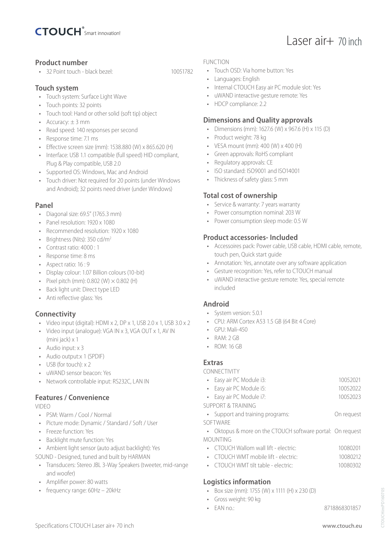

#### **Product number**

• 32 Point touch - black bezel: 10051782

#### **Touch system**

- Touch system: Surface Light Wave
- Touch points: 32 points
- Touch tool: Hand or other solid (soft tip) object
- Accuracy:  $\pm$  3 mm
- Read speed: 140 responses per second
- Response time: 7.1 ms
- Effective screen size (mm): 1538.880 (W) x 865.620 (H)
- Interface: USB 1.1 compatible (full speed) HID compliant, Plug & Play compatible, USB 2.0
- Supported OS: Windows, Mac and Android
- Touch driver: Not required for 20 points (under Windows and Android); 32 points need driver (under Windows)

#### **Panel**

- Diagonal size: 69.5" (1765.3 mm)
- Panel resolution: 1920 x 1080
- Recommended resolution: 1920 x 1080
- Brightness (Nits): 350 cd/m<sup>2</sup>
- Contrast ratio: 4000 : 1
- Response time: 8 ms
- Aspect ratio: 16 : 9
- Display colour: 1.07 Billion colours (10-bit)
- Pixel pitch (mm):  $0.802$  (W)  $\times$   $0.802$  (H)
- Back light unit: Direct type LED
- Anti reflective glass: Yes

#### **Connectivity**

- Video input (digital): HDMI x 2, DP x 1, USB 2.0 x 1, USB 3.0 x 2
- Video input (analogue): VGA IN x 3, VGA OUT x 1, AV IN (mini jack) x 1
- Audio input: x 3
- Audio output:x 1 (SPDIF)
- USB (for touch) x 2
- uWAND sensor beacon: Yes
- Network controllable input: RS232C, LAN IN

#### **Features / Convenience**

VIDEO

- PSM: Warm / Cool / Normal
- Picture mode: Dynamic / Standard / Soft / User
- Freeze function: Yes
- Backlight mute function: Yes
- Ambient light sensor (auto adjust backlight): Yes
- SOUND Designed, tuned and built by HARMAN
- Transducers: Stereo JBL 3-Way Speakers (tweeter, mid-range and woofer)
- Amplifier power: 80 watts
- frequency range: 60Hz 20kHz

#### FUNCTION

- Touch OSD: Via home button: Yes
- Languages: English
- Internal CTOUCH Easy air PC module slot: Yes

Laser air+ 70 inch

- uWAND interactive gesture remote: Yes
- HDCP compliance: 2.2

#### **Dimensions and Quality approvals**

- Dimensions (mm): 1627.6 (W) x 967.6 (H) x 115 (D)
- Product weight: 78 kg
- VESA mount (mm): 400 (W) x 400 (H)
- Green approvals: RoHS compliant
- Regulatory approvals: CE
- ISO standard: ISO9001 and ISO14001
- Thickness of safety glass: 5 mm

#### **Total cost of ownership**

- Service & warranty: 7 years warranty
- Power consumption nominal: 203 W
- Power consumption sleep mode: 0.5 W

#### **Product accessories- Included**

- Accessoires pack: Power cable, USB cable, HDMI cable, remote, touch pen, Quick start guide
- Annotation: Yes, annotate over any software application
- Gesture recognition: Yes, refer to CTOUCH manual
- uWAND interactive gesture remote: Yes, special remote included

#### **Android**

- System version: 5.0.1
- CPU: ARM Cortex A53 1.5 GB (64 Bit 4 Core)
- $\bullet$  GPU: Mali-450
- RAM: 2 GB
- ROM: 16 GB

#### **Extras**

CONNECTIVITY

| • Easy air PC Module i3: | 10052021 |
|--------------------------|----------|
| • Easy air PC Module i5: | 10052022 |
| • Easy air PC Module i7: | 10052023 |

SUPPORT & TRAINING

- Support and training programs: On request
- SOFTWARE
- Oktopus & more on the CTOUCH software portal: On request MOUNTING
- CTOUCH Wallom wall lift electric: 10080201
- CTOUCH WMT mobile lift electric: 10080212
- CTOUCH WMT tilt table electric: 10080302

#### **Logistics information**

- Box size (mm): 1755 (W) x 1111 (H) x 230 (D)
- Gross weight: 90 kg
- EAN no.: 8718868301857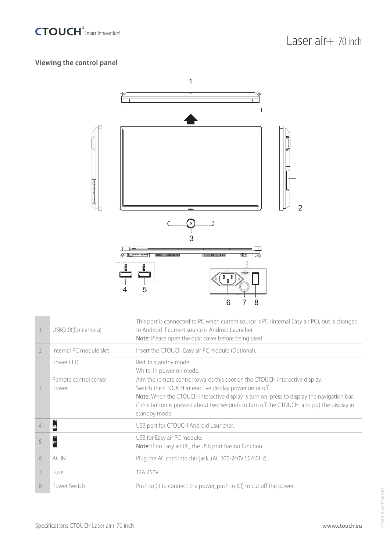

### **Viewing the control panel**



|               | USB(2.0)(for camera)                        | This port is connected to PC when current source is PC (internal Easy air PC), but is changed<br>to Android if current source is Android Launcher.<br><b>Note:</b> Please open the dust cover before being used.                                                                                                                                                                                       |
|---------------|---------------------------------------------|--------------------------------------------------------------------------------------------------------------------------------------------------------------------------------------------------------------------------------------------------------------------------------------------------------------------------------------------------------------------------------------------------------|
| $\mathcal{L}$ | Internal PC module slot                     | Insert the CTOUCH Easy air PC module (Optional).                                                                                                                                                                                                                                                                                                                                                       |
| 3             | Power LED<br>Remote control sensor<br>Power | Red: In standby mode.<br>White: In power on mode.<br>Aim the remote control towards this spot on the CTOUCH interactive display.<br>Switch the CTOUCH interactive display power on or off.<br>Note: When the CTOUCH interactive display is turn on, press to display the navigation bar,<br>if this button is pressed about two seconds to turn off the CTOUCH and put the display in<br>standby mode. |
| 4             | ш<br>ě                                      | USB port for CTOUCH Android Launcher.                                                                                                                                                                                                                                                                                                                                                                  |
|               | œ<br>$\overline{\phantom{a}}$ PC            | USB for Easy air PC module.<br>Note: If no Easy air PC, the USB port has no function.                                                                                                                                                                                                                                                                                                                  |
| 6             | AC IN                                       | Plug the AC cord into this jack .(AC 100-240V 50/60Hz).                                                                                                                                                                                                                                                                                                                                                |
| 7             | Fuse                                        | 12A 250V.                                                                                                                                                                                                                                                                                                                                                                                              |
| 8             | Power Switch                                | Push to (I) to connect the power, push to (O) to cut off the power.                                                                                                                                                                                                                                                                                                                                    |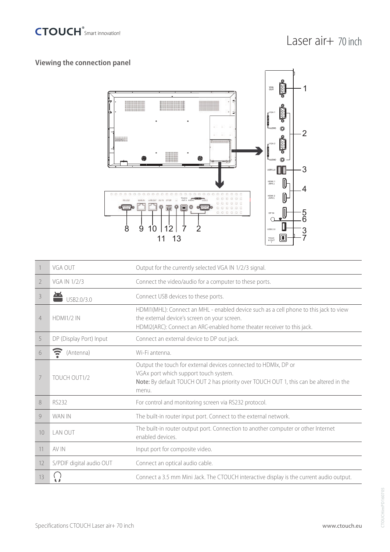

## **Viewing the connection panel**



|                | VGA OUT                  | Output for the currently selected VGA IN 1/2/3 signal.                                                                                                                                                          |
|----------------|--------------------------|-----------------------------------------------------------------------------------------------------------------------------------------------------------------------------------------------------------------|
| 2              | VGA IN 1/2/3             | Connect the video/audio for a computer to these ports.                                                                                                                                                          |
| 3              | USB2.0/3.0               | Connect USB devices to these ports.                                                                                                                                                                             |
| $\overline{4}$ | <b>HDMI1/2 IN</b>        | HDMI1(MHL): Connect an MHL - enabled device such as a cell phone to this jack to view<br>the external device's screen on your screen.<br>HDMI2(ARC): Connect an ARC-enabled home theater receiver to this jack. |
| 5              | DP (Display Port) Input  | Connect an external device to DP out jack.                                                                                                                                                                      |
| 6              | Ξ<br>(Antenna)           | Wi-Fi antenna.                                                                                                                                                                                                  |
| 7              | TOUCH OUT1/2             | Output the touch for external devices connected to HDMIx, DP or<br>VGAx port which support touch system.<br>Note: By default TOUCH OUT 2 has priority over TOUCH OUT 1, this can be altered in the<br>menu.     |
| 8              | RS232                    | For control and monitoring screen via RS232 protocol.                                                                                                                                                           |
| 9              | WAN IN                   | The built-in router input port. Connect to the external network.                                                                                                                                                |
| 10             | LAN OUT                  | The built-in router output port. Connection to another computer or other Internet<br>enabled devices                                                                                                            |
| 11             | AV IN                    | Input port for composite video.                                                                                                                                                                                 |
| 12             | S/PDIF digital audio OUT | Connect an optical audio cable.                                                                                                                                                                                 |
| 13             |                          | Connect a 3.5 mm Mini Jack. The CTOUCH interactive display is the current audio output.                                                                                                                         |